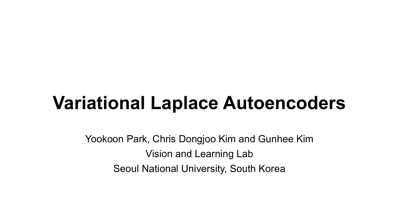# **Variational Laplace Autoencoders**

Yookoon Park, Chris Dongjoo Kim and Gunhee Kim Vision and Learning Lab Seoul National University, South Korea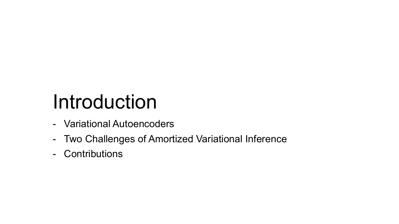# Introduction

- Variational Autoencoders
- Two Challenges of Amortized Variational Inference
- Contributions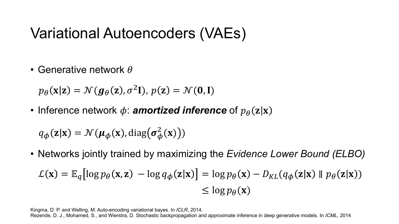# Variational Autoencoders (VAEs)

• Generative network  $\theta$ 

 $p_{\theta}(\mathbf{x}|\mathbf{z}) = \mathcal{N}(\mathbf{g}_{\theta}(\mathbf{z}), \sigma^2 \mathbf{I}), p(\mathbf{z}) = \mathcal{N}(\mathbf{0}, \mathbf{I})$ 

• Inference network  $\phi$ : **amortized inference** of  $p_{\theta}(\mathbf{z}|\mathbf{x})$ 

 $q_{\boldsymbol{\phi}}(\mathbf{z}|\mathbf{x}) = \mathcal{N}(\boldsymbol{\mu}_{\boldsymbol{\phi}}(\mathbf{x}), \text{diag}(\boldsymbol{\sigma}_{\boldsymbol{\phi}}^2(\mathbf{x})))$ 

• Networks jointly trained by maximizing the *Evidence Lower Bound (ELBO)*

$$
\mathcal{L}(\mathbf{x}) = \mathbb{E}_q[ \log p_\theta(\mathbf{x}, \mathbf{z}) - \log q_\phi(\mathbf{z}|\mathbf{x}) ] = \log p_\theta(\mathbf{x}) - D_{KL}(q_\phi(\mathbf{z}|\mathbf{x}) \parallel p_\theta(\mathbf{z}|\mathbf{x}))
$$
  
\n
$$
\leq \log p_\theta(\mathbf{x})
$$

Kingma, D. P. and Welling, M. Auto-encoding variational bayes. In *ICLR*, 2014.

Rezende, D. J., Mohamed, S., and Wierstra, D. Stochastic backpropagation and approximate inference in deep generative models. In *ICML*, 2014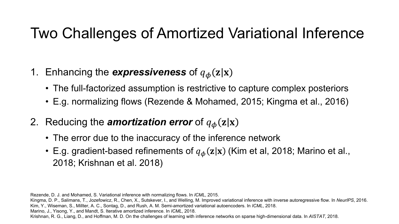# Two Challenges of Amortized Variational Inference

- 1. Enhancing the *expressiveness* of  $q_{\phi}(z|x)$ 
	- The full-factorized assumption is restrictive to capture complex posteriors
	- E.g. normalizing flows (Rezende & Mohamed, 2015; Kingma et al., 2016)
- 2. Reducing the *amortization error* of  $q_{\phi}(z|x)$ 
	- The error due to the inaccuracy of the inference network
	- E.g. gradient-based refinements of  $q_{\phi}(z|x)$  (Kim et al, 2018; Marino et al., 2018; Krishnan et al. 2018)

Rezende, D. J. and Mohamed, S. Variational inference with normalizing flows. In *ICML*, 2015. Kingma, D. P., Salimans, T., Jozefowicz, R., Chen, X., Sutskever, I., and Welling, M. Improved variational inference with inverse autoregressive flow. In *NeurIPS*, 2016. Kim, Y., Wiseman, S., Millter, A. C., Sontag, D., and Rush, A. M. Semi-amortized variational autoencoders. In *ICML*, 2018. Marino, J., Yisong, Y., and Mandt, S. Iterative amortized inference. In *ICML*, 2018. Krishnan, R. G., Liang, D., and Hoffman, M. D. On the challenges of learning with inference networks on sparse high-dimensional data. In *AISTAT*, 2018.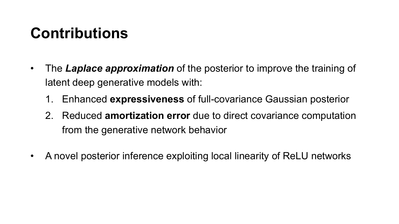# **Contributions**

- The *Laplace approximation* of the posterior to improve the training of latent deep generative models with:
	- 1. Enhanced **expressiveness** of full-covariance Gaussian posterior
	- 2. Reduced **amortization error** due to direct covariance computation from the generative network behavior
- A novel posterior inference exploiting local linearity of ReLU networks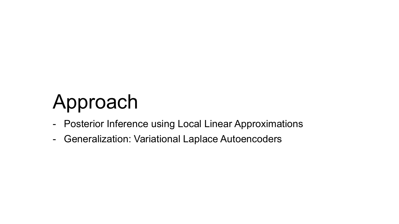# Approach

- Posterior Inference using Local Linear Approximations
- Generalization: Variational Laplace Autoencoders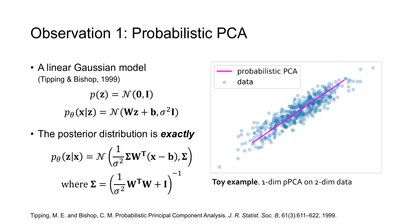# Observation 1: Probabilistic PCA

• A linear Gaussian model (Tipping & Bishop, 1999)

> $p(\mathbf{z}) = \mathcal{N}(\mathbf{0}, \mathbf{I})$  $p_{\theta}(\mathbf{x}|\mathbf{z}) = \mathcal{N}(\mathbf{W}\mathbf{z} + \mathbf{b}, \sigma^2 \mathbf{I})$

• The posterior distribution is *exactly*

$$
p_{\theta}(\mathbf{z}|\mathbf{x}) = \mathcal{N}\left(\frac{1}{\sigma^2} \mathbf{\Sigma} \mathbf{W}^{\mathsf{T}}(\mathbf{x} - \mathbf{b}), \mathbf{\Sigma}\right)
$$
  
where  $\mathbf{\Sigma} = \left(\frac{1}{\sigma^2} \mathbf{W}^{\mathsf{T}} \mathbf{W} + \mathbf{I}\right)^{-1}$ 



**Toy example**. 1-dim pPCA on 2-dim data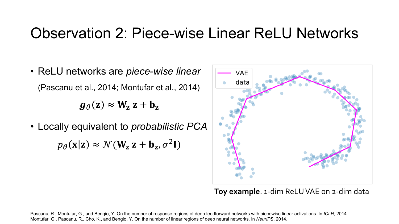### Observation 2: Piece-wise Linear ReLU Networks

• ReLU networks are *piece-wise linear* (Pascanu et al., 2014; Montufar et al., 2014)

 $g_{\theta}(\mathbf{z}) \approx \mathbf{W}_{\mathbf{z}} \mathbf{z} + \mathbf{b}_{\mathbf{z}}$ 

• Locally equivalent to *probabilistic PCA*

 $p_{\theta}(\mathbf{x}|\mathbf{z}) \approx \mathcal{N}(\mathbf{W}_{\mathbf{z}} \mathbf{z} + \mathbf{b}_{\mathbf{z}}, \sigma^2 \mathbf{I})$ 



**Toy example**. 1-dim ReLUVAE on 2-dim data

Pascanu, R., Montufar, G., and Bengio, Y. On the number of response regions of deep feedforward networks with piecewise linear activations. In *ICLR*, 2014. Montufar, G., Pascanu, R., Cho, K., and Bengio, Y. On the number of linear regions of deep neural networks. In *NeurIPS*, 2014.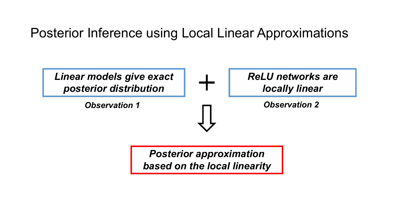Posterior Inference using Local Linear Approximations



*Posterior approximation based on the local linearity*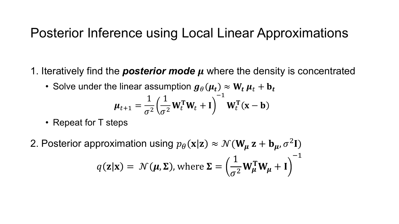#### Posterior Inference using Local Linear Approximations

- 1. Iteratively find the *posterior mode*  where the density is concentrated
	- Solve under the linear assumption  $g_{\theta}(\mu_t) \approx W_t \mu_t + b_t$

$$
\mu_{t+1} = \frac{1}{\sigma^2} \left( \frac{1}{\sigma^2} \mathbf{W}_t^{\mathsf{T}} \mathbf{W}_t + \mathbf{I} \right)^{-1} \mathbf{W}_t^{\mathsf{T}} (\mathbf{x} - \mathbf{b})
$$

- Repeat for T steps
- 2. Posterior approximation using  $p_{\theta}(\mathbf{x}|\mathbf{z}) \approx \mathcal{N}(\mathbf{W}_{\mu} \mathbf{z} + \mathbf{b}_{\mu}, \sigma^2 \mathbf{I})$  $q(\mathbf{z}|\mathbf{x}) = \mathcal{N}(\boldsymbol{\mu}, \boldsymbol{\Sigma})$ , where  $\boldsymbol{\Sigma} =$ 1  $\frac{1}{\sigma^2} W_\mu^T W_\mu + I$  $-1$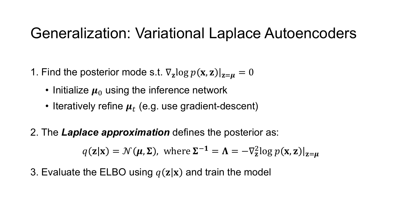### Generalization: Variational Laplace Autoencoders

- 1. Find the posterior mode s.t.  $\nabla_{z} \log p(x, z)|_{z=u} = 0$ 
	- Initialize  $\mu_0$  using the inference network
	- Iteratively refine  $\mu_t$  (e.g. use gradient-descent)

2. The *Laplace approximation* defines the posterior as:

$$
q(\mathbf{z}|\mathbf{x}) = \mathcal{N}(\boldsymbol{\mu}, \boldsymbol{\Sigma})
$$
, where  $\boldsymbol{\Sigma}^{-1} = \boldsymbol{\Lambda} = -\nabla_{\mathbf{z}}^2 \log p(\mathbf{x}, \mathbf{z})|_{\mathbf{z} = \boldsymbol{\mu}}$ 

3. Evaluate the ELBO using  $q(\mathbf{z}|\mathbf{x})$  and train the model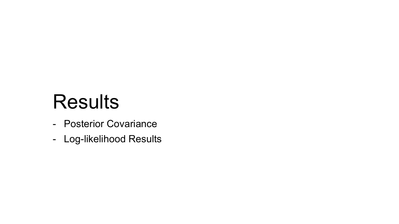# Results

- Posterior Covariance
- Log-likelihood Results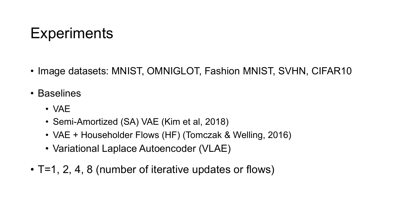# **Experiments**

- Image datasets: MNIST, OMNIGLOT, Fashion MNIST, SVHN, CIFAR10
- Baselines
	- VAE
	- Semi-Amortized (SA) VAE (Kim et al, 2018)
	- VAE + Householder Flows (HF) (Tomczak & Welling, 2016)
	- Variational Laplace Autoencoder (VLAE)
- T=1, 2, 4, 8 (number of iterative updates or flows)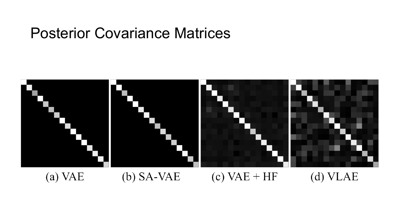### Posterior Covariance Matrices

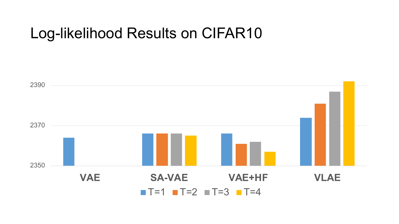### Log-likelihood Results on CIFAR10